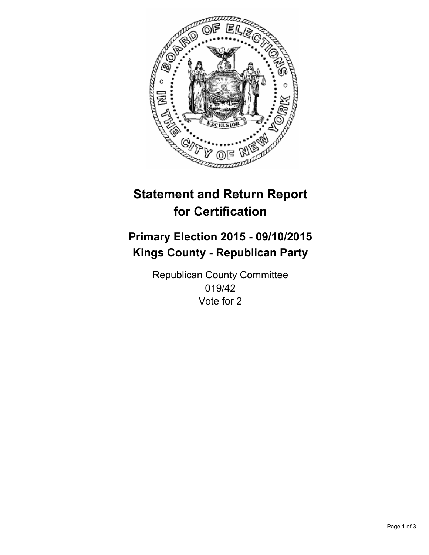

# **Statement and Return Report for Certification**

## **Primary Election 2015 - 09/10/2015 Kings County - Republican Party**

Republican County Committee 019/42 Vote for 2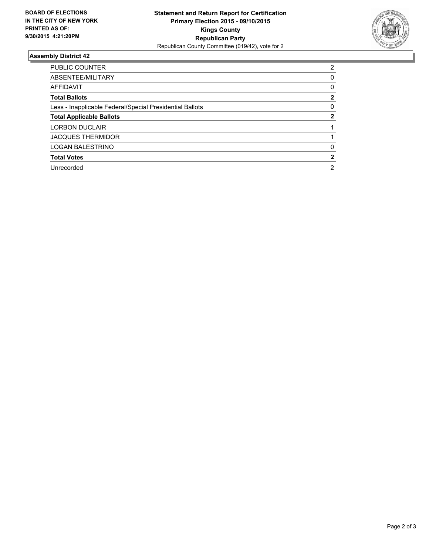

#### **Assembly District 42**

| <b>PUBLIC COUNTER</b>                                    | 2 |
|----------------------------------------------------------|---|
| ABSENTEE/MILITARY                                        | 0 |
| <b>AFFIDAVIT</b>                                         | 0 |
| <b>Total Ballots</b>                                     | 2 |
| Less - Inapplicable Federal/Special Presidential Ballots | 0 |
| <b>Total Applicable Ballots</b>                          | 2 |
| <b>LORBON DUCLAIR</b>                                    |   |
| <b>JACQUES THERMIDOR</b>                                 |   |
| <b>LOGAN BALESTRINO</b>                                  | 0 |
| <b>Total Votes</b>                                       | 2 |
| Unrecorded                                               | 2 |